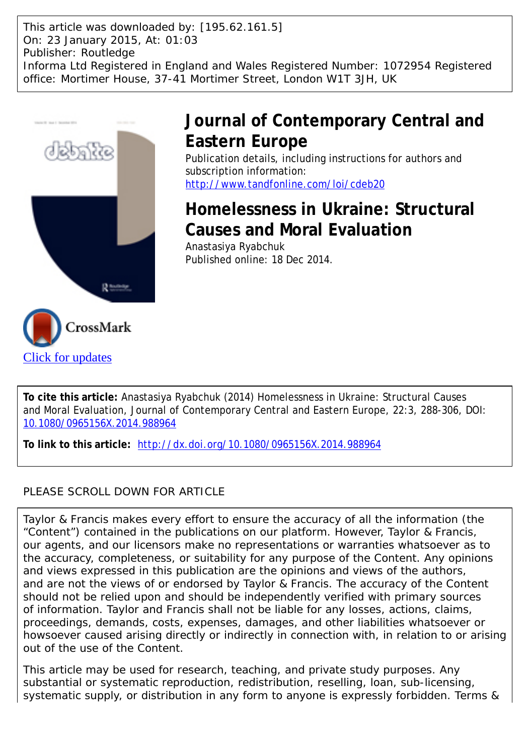This article was downloaded by: [195.62.161.5] On: 23 January 2015, At: 01:03 Publisher: Routledge Informa Ltd Registered in England and Wales Registered Number: 1072954 Registered office: Mortimer House, 37-41 Mortimer Street, London W1T 3JH, UK



# **Journal of Contemporary Central and Eastern Europe**

Publication details, including instructions for authors and subscription information: <http://www.tandfonline.com/loi/cdeb20>

# **Homelessness in Ukraine: Structural Causes and Moral Evaluation**

Anastasiya Ryabchuk Published online: 18 Dec 2014.



**To link to this article:** <http://dx.doi.org/10.1080/0965156X.2014.988964>

### PLEASE SCROLL DOWN FOR ARTICLE

Taylor & Francis makes every effort to ensure the accuracy of all the information (the "Content") contained in the publications on our platform. However, Taylor & Francis, our agents, and our licensors make no representations or warranties whatsoever as to the accuracy, completeness, or suitability for any purpose of the Content. Any opinions and views expressed in this publication are the opinions and views of the authors, and are not the views of or endorsed by Taylor & Francis. The accuracy of the Content should not be relied upon and should be independently verified with primary sources of information. Taylor and Francis shall not be liable for any losses, actions, claims, proceedings, demands, costs, expenses, damages, and other liabilities whatsoever or howsoever caused arising directly or indirectly in connection with, in relation to or arising out of the use of the Content.

This article may be used for research, teaching, and private study purposes. Any substantial or systematic reproduction, redistribution, reselling, loan, sub-licensing, systematic supply, or distribution in any form to anyone is expressly forbidden. Terms &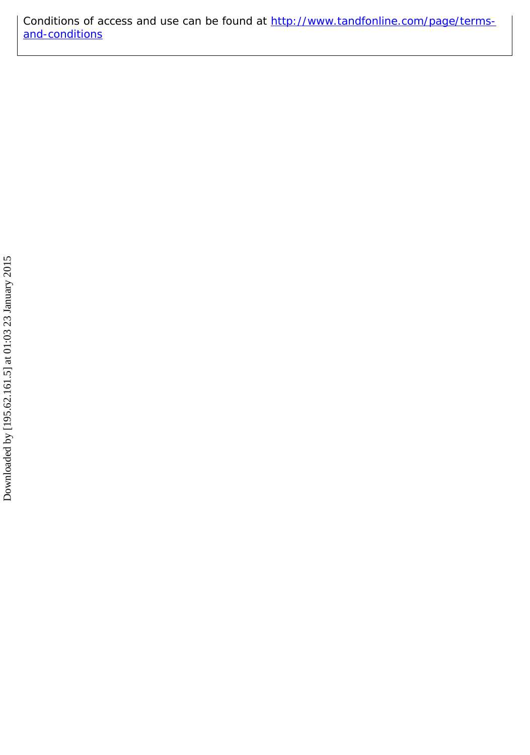Conditions of access and use can be found at [http://www.tandfonline.com/page/terms](http://www.tandfonline.com/page/terms-and-conditions)[and-conditions](http://www.tandfonline.com/page/terms-and-conditions)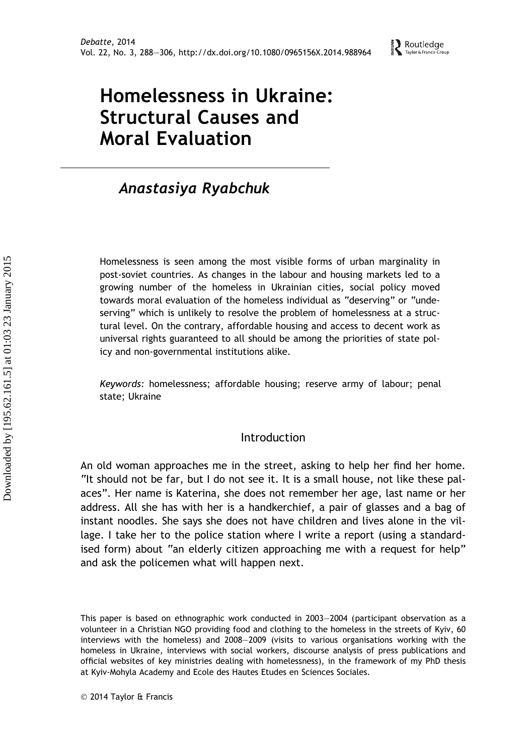# Homelessness in Ukraine: Structural Causes and Moral Evaluation

## Anastasiya Ryabchuk

Homelessness is seen among the most visible forms of urban marginality in post-soviet countries. As changes in the labour and housing markets led to a growing number of the homeless in Ukrainian cities, social policy moved towards moral evaluation of the homeless individual as "deserving" or "undeserving" which is unlikely to resolve the problem of homelessness at a structural level. On the contrary, affordable housing and access to decent work as universal rights guaranteed to all should be among the priorities of state policy and non-governmental institutions alike.

Keywords: homelessness; affordable housing; reserve army of labour; penal state; Ukraine

### Introduction

An old woman approaches me in the street, asking to help her find her home. "It should not be far, but I do not see it. It is a small house, not like these palaces". Her name is Katerina, she does not remember her age, last name or her address. All she has with her is a handkerchief, a pair of glasses and a bag of instant noodles. She says she does not have children and lives alone in the village. I take her to the police station where I write a report (using a standardised form) about "an elderly citizen approaching me with a request for help" and ask the policemen what will happen next.

This paper is based on ethnographic work conducted in 2003–2004 (participant observation as a volunteer in a Christian NGO providing food and clothing to the homeless in the streets of Kyiv, 60 interviews with the homeless) and 2008–2009 (visits to various organisations working with the homeless in Ukraine, interviews with social workers, discourse analysis of press publications and official websites of key ministries dealing with homelessness), in the framework of my PhD thesis at Kyiv-Mohyla Academy and Ecole des Hautes Etudes en Sciences Sociales.

2014 Taylor & Francis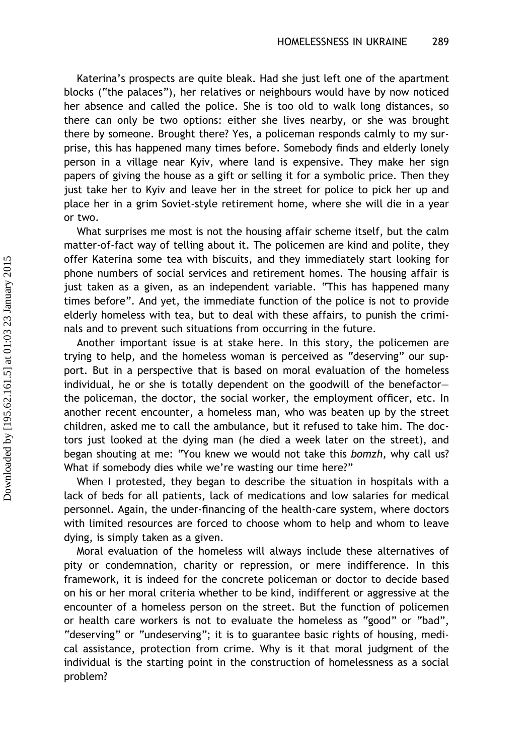Katerina's prospects are quite bleak. Had she just left one of the apartment blocks ("the palaces"), her relatives or neighbours would have by now noticed her absence and called the police. She is too old to walk long distances, so there can only be two options: either she lives nearby, or she was brought there by someone. Brought there? Yes, a policeman responds calmly to my surprise, this has happened many times before. Somebody finds and elderly lonely person in a village near Kyiv, where land is expensive. They make her sign papers of giving the house as a gift or selling it for a symbolic price. Then they just take her to Kyiv and leave her in the street for police to pick her up and place her in a grim Soviet-style retirement home, where she will die in a year or two.

What surprises me most is not the housing affair scheme itself, but the calm matter-of-fact way of telling about it. The policemen are kind and polite, they offer Katerina some tea with biscuits, and they immediately start looking for phone numbers of social services and retirement homes. The housing affair is just taken as a given, as an independent variable. "This has happened many times before". And yet, the immediate function of the police is not to provide elderly homeless with tea, but to deal with these affairs, to punish the criminals and to prevent such situations from occurring in the future.

Another important issue is at stake here. In this story, the policemen are trying to help, and the homeless woman is perceived as "deserving" our support. But in a perspective that is based on moral evaluation of the homeless individual, he or she is totally dependent on the goodwill of the benefactor– the policeman, the doctor, the social worker, the employment officer, etc. In another recent encounter, a homeless man, who was beaten up by the street children, asked me to call the ambulance, but it refused to take him. The doctors just looked at the dying man (he died a week later on the street), and began shouting at me: "You knew we would not take this bomzh, why call us? What if somebody dies while we're wasting our time here?"

When I protested, they began to describe the situation in hospitals with a lack of beds for all patients, lack of medications and low salaries for medical personnel. Again, the under-financing of the health-care system, where doctors with limited resources are forced to choose whom to help and whom to leave dying, is simply taken as a given.

Moral evaluation of the homeless will always include these alternatives of pity or condemnation, charity or repression, or mere indifference. In this framework, it is indeed for the concrete policeman or doctor to decide based on his or her moral criteria whether to be kind, indifferent or aggressive at the encounter of a homeless person on the street. But the function of policemen or health care workers is not to evaluate the homeless as "good" or "bad", "deserving" or "undeserving"; it is to guarantee basic rights of housing, medical assistance, protection from crime. Why is it that moral judgment of the individual is the starting point in the construction of homelessness as a social problem?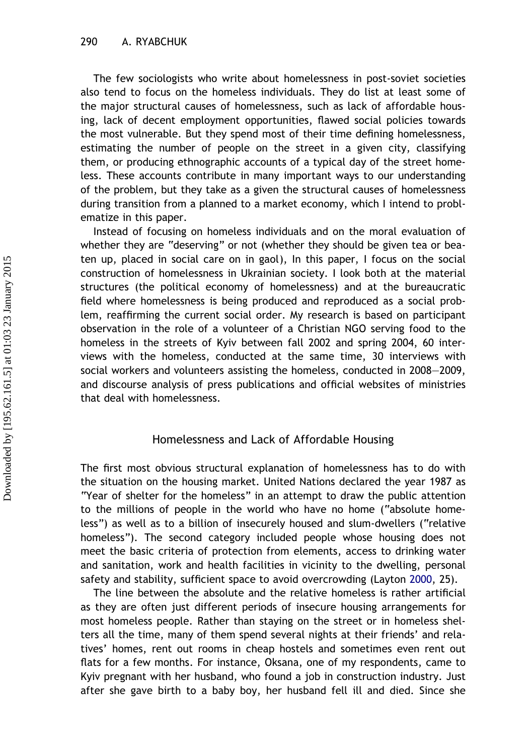The few sociologists who write about homelessness in post-soviet societies also tend to focus on the homeless individuals. They do list at least some of the major structural causes of homelessness, such as lack of affordable housing, lack of decent employment opportunities, flawed social policies towards the most vulnerable. But they spend most of their time defining homelessness, estimating the number of people on the street in a given city, classifying them, or producing ethnographic accounts of a typical day of the street homeless. These accounts contribute in many important ways to our understanding of the problem, but they take as a given the structural causes of homelessness during transition from a planned to a market economy, which I intend to problematize in this paper.

Instead of focusing on homeless individuals and on the moral evaluation of whether they are "deserving" or not (whether they should be given tea or beaten up, placed in social care on in gaol), In this paper, I focus on the social construction of homelessness in Ukrainian society. I look both at the material structures (the political economy of homelessness) and at the bureaucratic field where homelessness is being produced and reproduced as a social problem, reaffirming the current social order. My research is based on participant observation in the role of a volunteer of a Christian NGO serving food to the homeless in the streets of Kyiv between fall 2002 and spring 2004, 60 interviews with the homeless, conducted at the same time, 30 interviews with social workers and volunteers assisting the homeless, conducted in 2008–2009, and discourse analysis of press publications and official websites of ministries that deal with homelessness.

#### Homelessness and Lack of Affordable Housing

The first most obvious structural explanation of homelessness has to do with the situation on the housing market. United Nations declared the year 1987 as "Year of shelter for the homeless" in an attempt to draw the public attention to the millions of people in the world who have no home ("absolute homeless") as well as to a billion of insecurely housed and slum-dwellers ("relative homeless"). The second category included people whose housing does not meet the basic criteria of protection from elements, access to drinking water and sanitation, work and health facilities in vicinity to the dwelling, personal safety and stability, sufficient space to avoid overcrowding (Layton [2000](#page-19-0), 25).

The line between the absolute and the relative homeless is rather artificial as they are often just different periods of insecure housing arrangements for most homeless people. Rather than staying on the street or in homeless shelters all the time, many of them spend several nights at their friends' and relatives' homes, rent out rooms in cheap hostels and sometimes even rent out flats for a few months. For instance, Oksana, one of my respondents, came to Kyiv pregnant with her husband, who found a job in construction industry. Just after she gave birth to a baby boy, her husband fell ill and died. Since she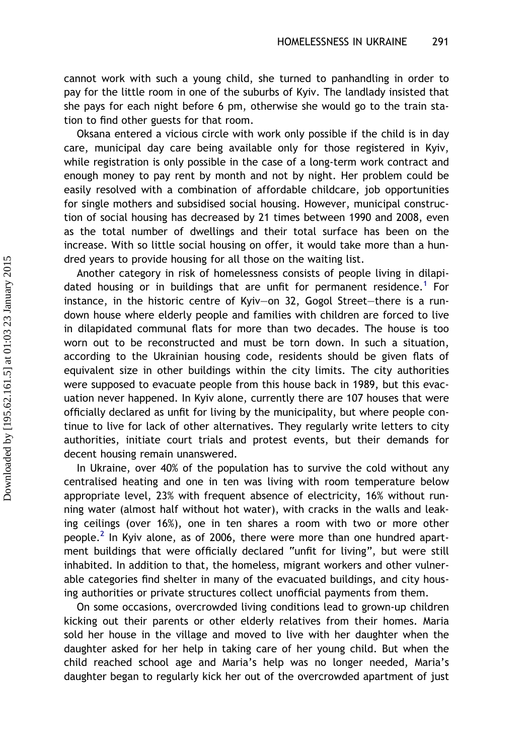cannot work with such a young child, she turned to panhandling in order to pay for the little room in one of the suburbs of Kyiv. The landlady insisted that she pays for each night before 6 pm, otherwise she would go to the train station to find other guests for that room.

Oksana entered a vicious circle with work only possible if the child is in day care, municipal day care being available only for those registered in Kyiv, while registration is only possible in the case of a long-term work contract and enough money to pay rent by month and not by night. Her problem could be easily resolved with a combination of affordable childcare, job opportunities for single mothers and subsidised social housing. However, municipal construction of social housing has decreased by 21 times between 1990 and 2008, even as the total number of dwellings and their total surface has been on the increase. With so little social housing on offer, it would take more than a hundred years to provide housing for all those on the waiting list.

Another category in risk of homelessness consists of people living in dilapi-dated housing or in buildings that are unfit for permanent residence.<sup>[1](#page-18-0)</sup> For instance, in the historic centre of Kyiv–on 32, Gogol Street–there is a rundown house where elderly people and families with children are forced to live in dilapidated communal flats for more than two decades. The house is too worn out to be reconstructed and must be torn down. In such a situation, according to the Ukrainian housing code, residents should be given flats of equivalent size in other buildings within the city limits. The city authorities were supposed to evacuate people from this house back in 1989, but this evacuation never happened. In Kyiv alone, currently there are 107 houses that were officially declared as unfit for living by the municipality, but where people continue to live for lack of other alternatives. They regularly write letters to city authorities, initiate court trials and protest events, but their demands for decent housing remain unanswered.

In Ukraine, over 40% of the population has to survive the cold without any centralised heating and one in ten was living with room temperature below appropriate level, 23% with frequent absence of electricity, 16% without running water (almost half without hot water), with cracks in the walls and leaking ceilings (over 16%), one in ten shares a room with two or more other people.<sup>2</sup> In Kyiv alone, as of 2006, there were more than one hundred apartment buildings that were officially declared "unfit for living", but were still inhabited. In addition to that, the homeless, migrant workers and other vulnerable categories find shelter in many of the evacuated buildings, and city housing authorities or private structures collect unofficial payments from them.

On some occasions, overcrowded living conditions lead to grown-up children kicking out their parents or other elderly relatives from their homes. Maria sold her house in the village and moved to live with her daughter when the daughter asked for her help in taking care of her young child. But when the child reached school age and Maria's help was no longer needed, Maria's daughter began to regularly kick her out of the overcrowded apartment of just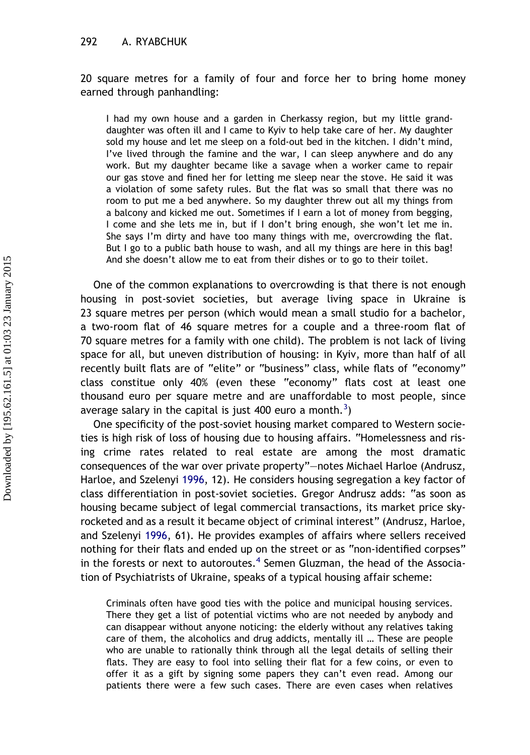#### 292 A. RYABCHUK

20 square metres for a family of four and force her to bring home money earned through panhandling:

I had my own house and a garden in Cherkassy region, but my little granddaughter was often ill and I came to Kyiv to help take care of her. My daughter sold my house and let me sleep on a fold-out bed in the kitchen. I didn't mind, I've lived through the famine and the war, I can sleep anywhere and do any work. But my daughter became like a savage when a worker came to repair our gas stove and fined her for letting me sleep near the stove. He said it was a violation of some safety rules. But the flat was so small that there was no room to put me a bed anywhere. So my daughter threw out all my things from a balcony and kicked me out. Sometimes if I earn a lot of money from begging, I come and she lets me in, but if I don't bring enough, she won't let me in. She says I'm dirty and have too many things with me, overcrowding the flat. But I go to a public bath house to wash, and all my things are here in this bag! And she doesn't allow me to eat from their dishes or to go to their toilet.

One of the common explanations to overcrowding is that there is not enough housing in post-soviet societies, but average living space in Ukraine is 23 square metres per person (which would mean a small studio for a bachelor, a two-room flat of 46 square metres for a couple and a three-room flat of 70 square metres for a family with one child). The problem is not lack of living space for all, but uneven distribution of housing: in Kyiv, more than half of all recently built flats are of "elite" or "business" class, while flats of "economy" class constitue only 40% (even these "economy" flats cost at least one thousand euro per square metre and are unaffordable to most people, since average salary in the capital is just 400 euro a month.<sup>[3](#page-18-0)</sup>)

One specificity of the post-soviet housing market compared to Western societies is high risk of loss of housing due to housing affairs. "Homelessness and rising crime rates related to real estate are among the most dramatic consequences of the war over private property"–notes Michael Harloe (Andrusz, Harloe, and Szelenyi [1996](#page-19-0), 12). He considers housing segregation a key factor of class differentiation in post-soviet societies. Gregor Andrusz adds: "as soon as housing became subject of legal commercial transactions, its market price skyrocketed and as a result it became object of criminal interest" (Andrusz, Harloe, and Szelenyi [1996,](#page-19-0) 61). He provides examples of affairs where sellers received nothing for their flats and ended up on the street or as "non-identified corpses" in the forests or next to autoroutes.<sup>[4](#page-18-0)</sup> Semen Gluzman, the head of the Association of Psychiatrists of Ukraine, speaks of a typical housing affair scheme:

Criminals often have good ties with the police and municipal housing services. There they get a list of potential victims who are not needed by anybody and can disappear without anyone noticing: the elderly without any relatives taking care of them, the alcoholics and drug addicts, mentally ill … These are people who are unable to rationally think through all the legal details of selling their flats. They are easy to fool into selling their flat for a few coins, or even to offer it as a gift by signing some papers they can't even read. Among our patients there were a few such cases. There are even cases when relatives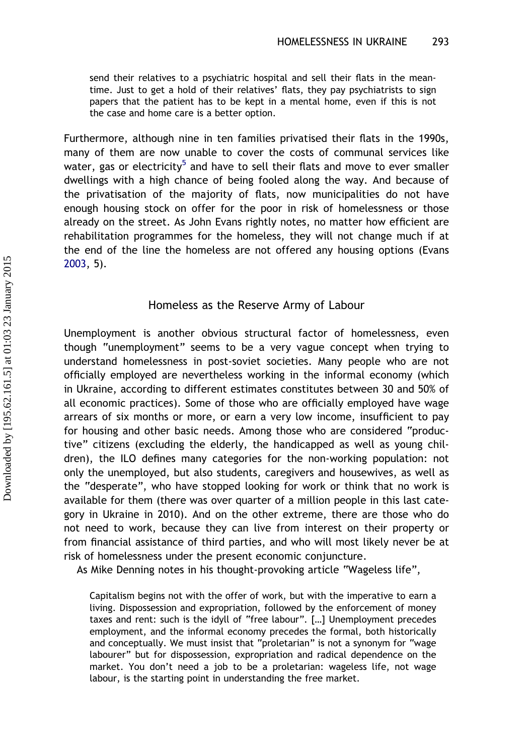send their relatives to a psychiatric hospital and sell their flats in the meantime. Just to get a hold of their relatives' flats, they pay psychiatrists to sign papers that the patient has to be kept in a mental home, even if this is not the case and home care is a better option.

Furthermore, although nine in ten families privatised their flats in the 1990s, many of them are now unable to cover the costs of communal services like water, gas or electricity<sup>[5](#page-18-0)</sup> and have to sell their flats and move to ever smaller dwellings with a high chance of being fooled along the way. And because of the privatisation of the majority of flats, now municipalities do not have enough housing stock on offer for the poor in risk of homelessness or those already on the street. As John Evans rightly notes, no matter how efficient are rehabilitation programmes for the homeless, they will not change much if at the end of the line the homeless are not offered any housing options (Evans [2003](#page-19-0), 5).

#### Homeless as the Reserve Army of Labour

Unemployment is another obvious structural factor of homelessness, even though "unemployment" seems to be a very vague concept when trying to understand homelessness in post-soviet societies. Many people who are not officially employed are nevertheless working in the informal economy (which in Ukraine, according to different estimates constitutes between 30 and 50% of all economic practices). Some of those who are officially employed have wage arrears of six months or more, or earn a very low income, insufficient to pay for housing and other basic needs. Among those who are considered "productive" citizens (excluding the elderly, the handicapped as well as young children), the ILO defines many categories for the non-working population: not only the unemployed, but also students, caregivers and housewives, as well as the "desperate", who have stopped looking for work or think that no work is available for them (there was over quarter of a million people in this last category in Ukraine in 2010). And on the other extreme, there are those who do not need to work, because they can live from interest on their property or from financial assistance of third parties, and who will most likely never be at risk of homelessness under the present economic conjuncture.

As Mike Denning notes in his thought-provoking article "Wageless life",

Capitalism begins not with the offer of work, but with the imperative to earn a living. Dispossession and expropriation, followed by the enforcement of money taxes and rent: such is the idyll of "free labour". […] Unemployment precedes employment, and the informal economy precedes the formal, both historically and conceptually. We must insist that "proletarian" is not a synonym for "wage labourer" but for dispossession, expropriation and radical dependence on the market. You don't need a job to be a proletarian: wageless life, not wage labour, is the starting point in understanding the free market.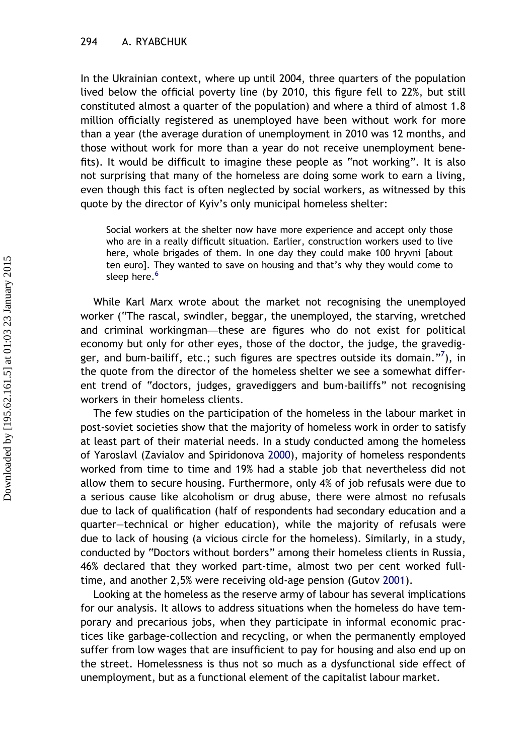In the Ukrainian context, where up until 2004, three quarters of the population lived below the official poverty line (by 2010, this figure fell to 22%, but still constituted almost a quarter of the population) and where a third of almost 1.8 million officially registered as unemployed have been without work for more than a year (the average duration of unemployment in 2010 was 12 months, and those without work for more than a year do not receive unemployment benefits). It would be difficult to imagine these people as "not working". It is also not surprising that many of the homeless are doing some work to earn a living, even though this fact is often neglected by social workers, as witnessed by this quote by the director of Kyiv's only municipal homeless shelter:

Social workers at the shelter now have more experience and accept only those who are in a really difficult situation. Earlier, construction workers used to live here, whole brigades of them. In one day they could make 100 hryvni [about ten euro]. They wanted to save on housing and that's why they would come to sleep here.<sup>[6](#page-19-0)</sup>

While Karl Marx wrote about the market not recognising the unemployed worker ("The rascal, swindler, beggar, the unemployed, the starving, wretched and criminal workingman—these are figures who do not exist for political economy but only for other eyes, those of the doctor, the judge, the gravedig-ger, and bum-bailiff, etc.; such figures are spectres outside its domain."<sup>[7](#page-19-0)</sup>), in the quote from the director of the homeless shelter we see a somewhat different trend of "doctors, judges, gravediggers and bum-bailiffs" not recognising workers in their homeless clients.

The few studies on the participation of the homeless in the labour market in post-soviet societies show that the majority of homeless work in order to satisfy at least part of their material needs. In a study conducted among the homeless of Yaroslavl (Zavialov and Spiridonova [2000](#page-20-0)), majority of homeless respondents worked from time to time and 19% had a stable job that nevertheless did not allow them to secure housing. Furthermore, only 4% of job refusals were due to a serious cause like alcoholism or drug abuse, there were almost no refusals due to lack of qualification (half of respondents had secondary education and a quarter–technical or higher education), while the majority of refusals were due to lack of housing (a vicious circle for the homeless). Similarly, in a study, conducted by "Doctors without borders" among their homeless clients in Russia, 46% declared that they worked part-time, almost two per cent worked fulltime, and another 2,5% were receiving old-age pension (Gutov [2001](#page-19-0)).

Looking at the homeless as the reserve army of labour has several implications for our analysis. It allows to address situations when the homeless do have temporary and precarious jobs, when they participate in informal economic practices like garbage-collection and recycling, or when the permanently employed suffer from low wages that are insufficient to pay for housing and also end up on the street. Homelessness is thus not so much as a dysfunctional side effect of unemployment, but as a functional element of the capitalist labour market.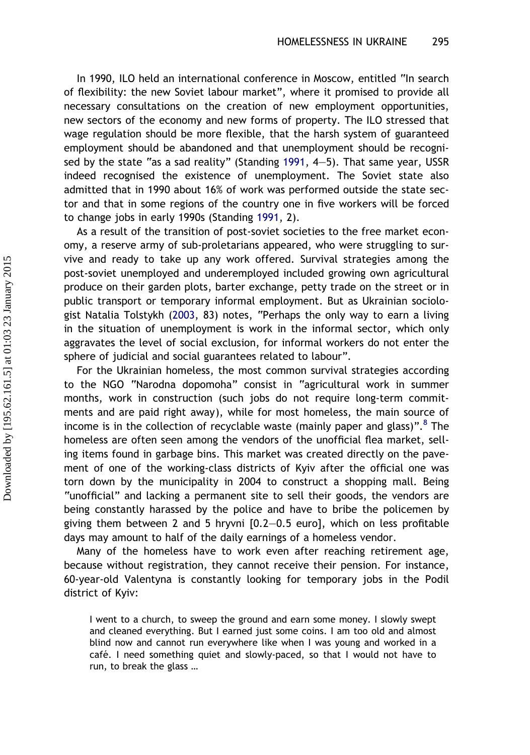In 1990, ILO held an international conference in Moscow, entitled "In search of flexibility: the new Soviet labour market", where it promised to provide all necessary consultations on the creation of new employment opportunities, new sectors of the economy and new forms of property. The ILO stressed that wage regulation should be more flexible, that the harsh system of guaranteed employment should be abandoned and that unemployment should be recognised by the state "as a sad reality" (Standing [1991](#page-19-0), 4–5). That same year, USSR indeed recognised the existence of unemployment. The Soviet state also admitted that in 1990 about 16% of work was performed outside the state sector and that in some regions of the country one in five workers will be forced to change jobs in early 1990s (Standing [1991,](#page-19-0) 2).

As a result of the transition of post-soviet societies to the free market economy, a reserve army of sub-proletarians appeared, who were struggling to survive and ready to take up any work offered. Survival strategies among the post-soviet unemployed and underemployed included growing own agricultural produce on their garden plots, barter exchange, petty trade on the street or in public transport or temporary informal employment. But as Ukrainian sociologist Natalia Tolstykh ([2003](#page-20-0), 83) notes, "Perhaps the only way to earn a living in the situation of unemployment is work in the informal sector, which only aggravates the level of social exclusion, for informal workers do not enter the sphere of judicial and social guarantees related to labour".

For the Ukrainian homeless, the most common survival strategies according to the NGO "Narodna dopomoha" consist in "agricultural work in summer months, work in construction (such jobs do not require long-term commitments and are paid right away), while for most homeless, the main source of income is in the collection of recyclable waste (mainly paper and glass)".<sup>[8](#page-19-0)</sup> The homeless are often seen among the vendors of the unofficial flea market, selling items found in garbage bins. This market was created directly on the pavement of one of the working-class districts of Kyiv after the official one was torn down by the municipality in 2004 to construct a shopping mall. Being "unofficial" and lacking a permanent site to sell their goods, the vendors are being constantly harassed by the police and have to bribe the policemen by giving them between 2 and 5 hryvni [0.2–0.5 euro], which on less profitable days may amount to half of the daily earnings of a homeless vendor.

Many of the homeless have to work even after reaching retirement age, because without registration, they cannot receive their pension. For instance, 60-year-old Valentyna is constantly looking for temporary jobs in the Podil district of Kyiv:

I went to a church, to sweep the ground and earn some money. I slowly swept and cleaned everything. But I earned just some coins. I am too old and almost blind now and cannot run everywhere like when I was young and worked in a café. I need something quiet and slowly-paced, so that I would not have to run, to break the glass …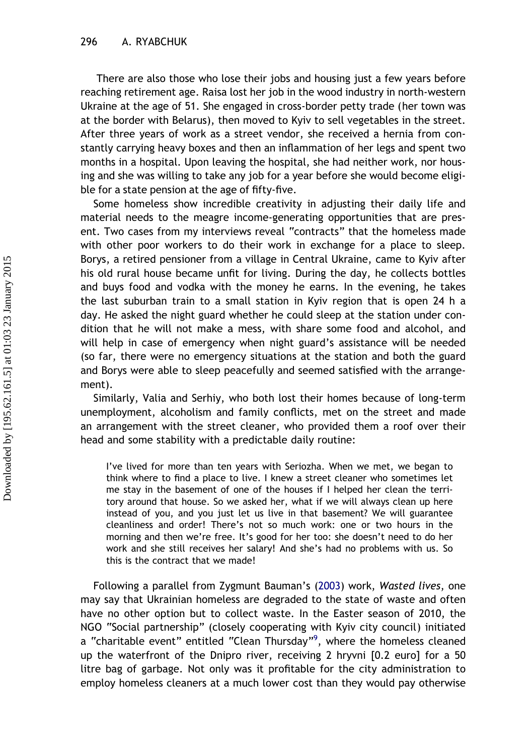There are also those who lose their jobs and housing just a few years before reaching retirement age. Raisa lost her job in the wood industry in north-western Ukraine at the age of 51. She engaged in cross-border petty trade (her town was at the border with Belarus), then moved to Kyiv to sell vegetables in the street. After three years of work as a street vendor, she received a hernia from constantly carrying heavy boxes and then an inflammation of her legs and spent two months in a hospital. Upon leaving the hospital, she had neither work, nor housing and she was willing to take any job for a year before she would become eligible for a state pension at the age of fifty-five.

Some homeless show incredible creativity in adjusting their daily life and material needs to the meagre income-generating opportunities that are present. Two cases from my interviews reveal "contracts" that the homeless made with other poor workers to do their work in exchange for a place to sleep. Borys, a retired pensioner from a village in Central Ukraine, came to Kyiv after his old rural house became unfit for living. During the day, he collects bottles and buys food and vodka with the money he earns. In the evening, he takes the last suburban train to a small station in Kyiv region that is open 24 h a day. He asked the night guard whether he could sleep at the station under condition that he will not make a mess, with share some food and alcohol, and will help in case of emergency when night guard's assistance will be needed (so far, there were no emergency situations at the station and both the guard and Borys were able to sleep peacefully and seemed satisfied with the arrangement).

Similarly, Valia and Serhiy, who both lost their homes because of long-term unemployment, alcoholism and family conflicts, met on the street and made an arrangement with the street cleaner, who provided them a roof over their head and some stability with a predictable daily routine:

I've lived for more than ten years with Seriozha. When we met, we began to think where to find a place to live. I knew a street cleaner who sometimes let me stay in the basement of one of the houses if I helped her clean the territory around that house. So we asked her, what if we will always clean up here instead of you, and you just let us live in that basement? We will guarantee cleanliness and order! There's not so much work: one or two hours in the morning and then we're free. It's good for her too: she doesn't need to do her work and she still receives her salary! And she's had no problems with us. So this is the contract that we made!

Following a parallel from Zygmunt Bauman's [\(2003](#page-19-0)) work, Wasted lives, one may say that Ukrainian homeless are degraded to the state of waste and often have no other option but to collect waste. In the Easter season of 2010, the NGO "Social partnership" (closely cooperating with Kyiv city council) initiated a "charitable event" entitled "Clean Thursday"<sup>[9](#page-19-0)</sup>, where the homeless cleaned up the waterfront of the Dnipro river, receiving 2 hryvni [0.2 euro] for a 50 litre bag of garbage. Not only was it profitable for the city administration to employ homeless cleaners at a much lower cost than they would pay otherwise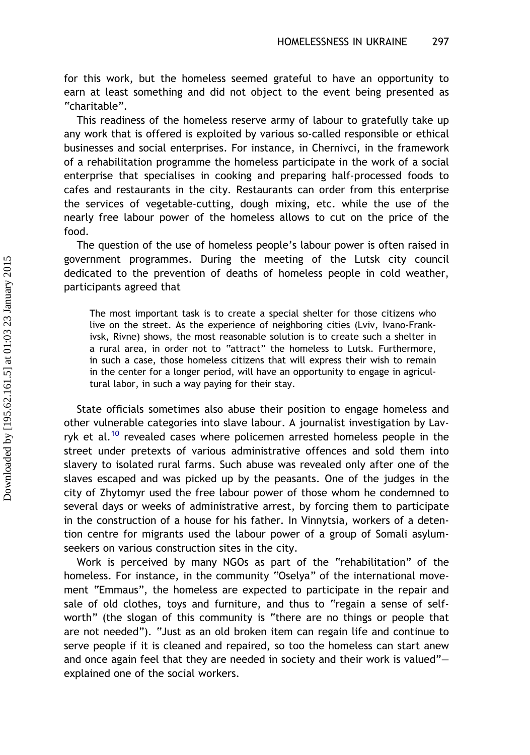for this work, but the homeless seemed grateful to have an opportunity to earn at least something and did not object to the event being presented as "charitable".

This readiness of the homeless reserve army of labour to gratefully take up any work that is offered is exploited by various so-called responsible or ethical businesses and social enterprises. For instance, in Chernivci, in the framework of a rehabilitation programme the homeless participate in the work of a social enterprise that specialises in cooking and preparing half-processed foods to cafes and restaurants in the city. Restaurants can order from this enterprise the services of vegetable-cutting, dough mixing, etc. while the use of the nearly free labour power of the homeless allows to cut on the price of the food.

The question of the use of homeless people's labour power is often raised in government programmes. During the meeting of the Lutsk city council dedicated to the prevention of deaths of homeless people in cold weather, participants agreed that

The most important task is to create a special shelter for those citizens who live on the street. As the experience of neighboring cities (Lviv, Ivano-Frankivsk, Rivne) shows, the most reasonable solution is to create such a shelter in a rural area, in order not to "attract" the homeless to Lutsk. Furthermore, in such a case, those homeless citizens that will express their wish to remain in the center for a longer period, will have an opportunity to engage in agricultural labor, in such a way paying for their stay.

State officials sometimes also abuse their position to engage homeless and other vulnerable categories into slave labour. A journalist investigation by Lav-ryk et al.<sup>[10](#page-19-0)</sup> revealed cases where policemen arrested homeless people in the street under pretexts of various administrative offences and sold them into slavery to isolated rural farms. Such abuse was revealed only after one of the slaves escaped and was picked up by the peasants. One of the judges in the city of Zhytomyr used the free labour power of those whom he condemned to several days or weeks of administrative arrest, by forcing them to participate in the construction of a house for his father. In Vinnytsia, workers of a detention centre for migrants used the labour power of a group of Somali asylumseekers on various construction sites in the city.

Work is perceived by many NGOs as part of the "rehabilitation" of the homeless. For instance, in the community "Oselya" of the international movement "Emmaus", the homeless are expected to participate in the repair and sale of old clothes, toys and furniture, and thus to "regain a sense of selfworth" (the slogan of this community is "there are no things or people that are not needed"). "Just as an old broken item can regain life and continue to serve people if it is cleaned and repaired, so too the homeless can start anew and once again feel that they are needed in society and their work is valued"– explained one of the social workers.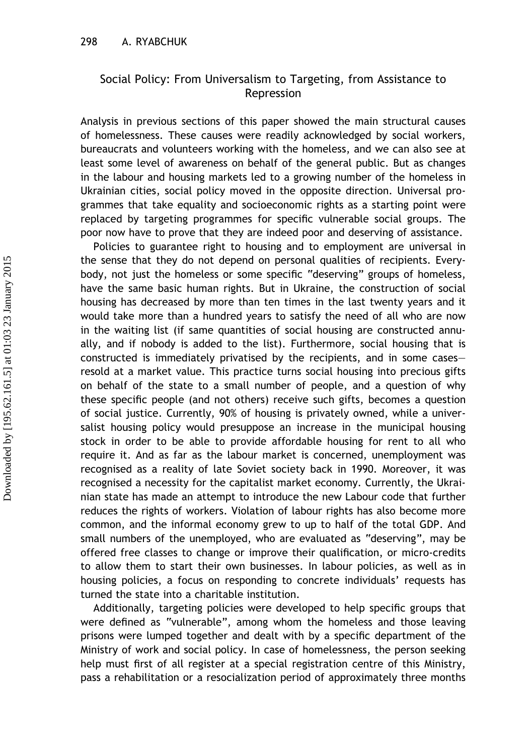### Social Policy: From Universalism to Targeting, from Assistance to Repression

Analysis in previous sections of this paper showed the main structural causes of homelessness. These causes were readily acknowledged by social workers, bureaucrats and volunteers working with the homeless, and we can also see at least some level of awareness on behalf of the general public. But as changes in the labour and housing markets led to a growing number of the homeless in Ukrainian cities, social policy moved in the opposite direction. Universal programmes that take equality and socioeconomic rights as a starting point were replaced by targeting programmes for specific vulnerable social groups. The poor now have to prove that they are indeed poor and deserving of assistance.

Policies to guarantee right to housing and to employment are universal in the sense that they do not depend on personal qualities of recipients. Everybody, not just the homeless or some specific "deserving" groups of homeless, have the same basic human rights. But in Ukraine, the construction of social housing has decreased by more than ten times in the last twenty years and it would take more than a hundred years to satisfy the need of all who are now in the waiting list (if same quantities of social housing are constructed annually, and if nobody is added to the list). Furthermore, social housing that is constructed is immediately privatised by the recipients, and in some cases– resold at a market value. This practice turns social housing into precious gifts on behalf of the state to a small number of people, and a question of why these specific people (and not others) receive such gifts, becomes a question of social justice. Currently, 90% of housing is privately owned, while a universalist housing policy would presuppose an increase in the municipal housing stock in order to be able to provide affordable housing for rent to all who require it. And as far as the labour market is concerned, unemployment was recognised as a reality of late Soviet society back in 1990. Moreover, it was recognised a necessity for the capitalist market economy. Currently, the Ukrainian state has made an attempt to introduce the new Labour code that further reduces the rights of workers. Violation of labour rights has also become more common, and the informal economy grew to up to half of the total GDP. And small numbers of the unemployed, who are evaluated as "deserving", may be offered free classes to change or improve their qualification, or micro-credits to allow them to start their own businesses. In labour policies, as well as in housing policies, a focus on responding to concrete individuals' requests has turned the state into a charitable institution.

Additionally, targeting policies were developed to help specific groups that were defined as "vulnerable", among whom the homeless and those leaving prisons were lumped together and dealt with by a specific department of the Ministry of work and social policy. In case of homelessness, the person seeking help must first of all register at a special registration centre of this Ministry, pass a rehabilitation or a resocialization period of approximately three months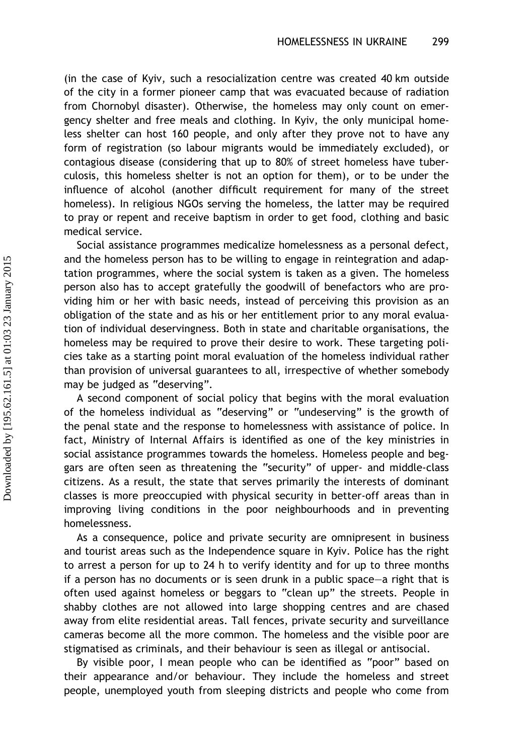(in the case of Kyiv, such a resocialization centre was created 40 km outside of the city in a former pioneer camp that was evacuated because of radiation from Chornobyl disaster). Otherwise, the homeless may only count on emergency shelter and free meals and clothing. In Kyiv, the only municipal homeless shelter can host 160 people, and only after they prove not to have any form of registration (so labour migrants would be immediately excluded), or contagious disease (considering that up to 80% of street homeless have tuberculosis, this homeless shelter is not an option for them), or to be under the influence of alcohol (another difficult requirement for many of the street homeless). In religious NGOs serving the homeless, the latter may be required to pray or repent and receive baptism in order to get food, clothing and basic medical service.

Social assistance programmes medicalize homelessness as a personal defect, and the homeless person has to be willing to engage in reintegration and adaptation programmes, where the social system is taken as a given. The homeless person also has to accept gratefully the goodwill of benefactors who are providing him or her with basic needs, instead of perceiving this provision as an obligation of the state and as his or her entitlement prior to any moral evaluation of individual deservingness. Both in state and charitable organisations, the homeless may be required to prove their desire to work. These targeting policies take as a starting point moral evaluation of the homeless individual rather than provision of universal guarantees to all, irrespective of whether somebody may be judged as "deserving".

A second component of social policy that begins with the moral evaluation of the homeless individual as "deserving" or "undeserving" is the growth of the penal state and the response to homelessness with assistance of police. In fact, Ministry of Internal Affairs is identified as one of the key ministries in social assistance programmes towards the homeless. Homeless people and beggars are often seen as threatening the "security" of upper- and middle-class citizens. As a result, the state that serves primarily the interests of dominant classes is more preoccupied with physical security in better-off areas than in improving living conditions in the poor neighbourhoods and in preventing homelessness.

As a consequence, police and private security are omnipresent in business and tourist areas such as the Independence square in Kyiv. Police has the right to arrest a person for up to 24 h to verify identity and for up to three months if a person has no documents or is seen drunk in a public space–a right that is often used against homeless or beggars to "clean up" the streets. People in shabby clothes are not allowed into large shopping centres and are chased away from elite residential areas. Tall fences, private security and surveillance cameras become all the more common. The homeless and the visible poor are stigmatised as criminals, and their behaviour is seen as illegal or antisocial.

By visible poor, I mean people who can be identified as "poor" based on their appearance and/or behaviour. They include the homeless and street people, unemployed youth from sleeping districts and people who come from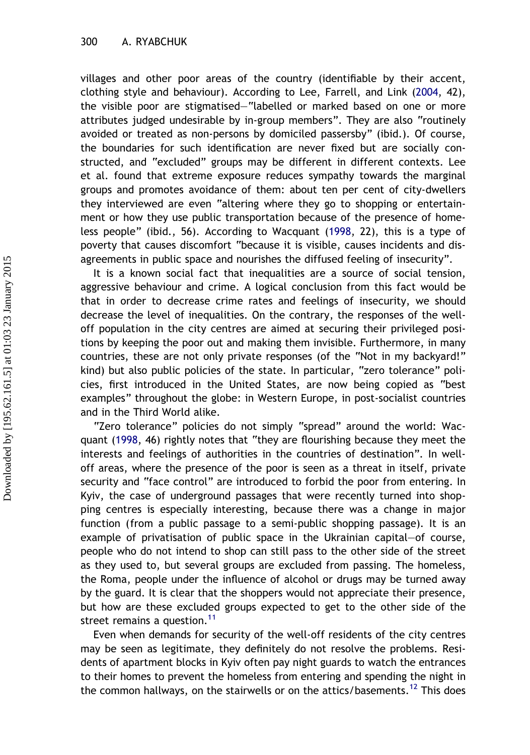villages and other poor areas of the country (identifiable by their accent, clothing style and behaviour). According to Lee, Farrell, and Link [\(2004,](#page-19-0) 42), the visible poor are stigmatised–"labelled or marked based on one or more attributes judged undesirable by in-group members". They are also "routinely avoided or treated as non-persons by domiciled passersby" (ibid.). Of course, the boundaries for such identification are never fixed but are socially constructed, and "excluded" groups may be different in different contexts. Lee et al. found that extreme exposure reduces sympathy towards the marginal groups and promotes avoidance of them: about ten per cent of city-dwellers they interviewed are even "altering where they go to shopping or entertainment or how they use public transportation because of the presence of homeless people" (ibid., 56). According to Wacquant [\(1998,](#page-20-0) 22), this is a type of poverty that causes discomfort "because it is visible, causes incidents and disagreements in public space and nourishes the diffused feeling of insecurity".

It is a known social fact that inequalities are a source of social tension, aggressive behaviour and crime. A logical conclusion from this fact would be that in order to decrease crime rates and feelings of insecurity, we should decrease the level of inequalities. On the contrary, the responses of the welloff population in the city centres are aimed at securing their privileged positions by keeping the poor out and making them invisible. Furthermore, in many countries, these are not only private responses (of the "Not in my backyard!" kind) but also public policies of the state. In particular, "zero tolerance" policies, first introduced in the United States, are now being copied as "best examples" throughout the globe: in Western Europe, in post-socialist countries and in the Third World alike.

"Zero tolerance" policies do not simply "spread" around the world: Wacquant ([1998](#page-20-0), 46) rightly notes that "they are flourishing because they meet the interests and feelings of authorities in the countries of destination". In welloff areas, where the presence of the poor is seen as a threat in itself, private security and "face control" are introduced to forbid the poor from entering. In Kyiv, the case of underground passages that were recently turned into shopping centres is especially interesting, because there was a change in major function (from a public passage to a semi-public shopping passage). It is an example of privatisation of public space in the Ukrainian capital–of course, people who do not intend to shop can still pass to the other side of the street as they used to, but several groups are excluded from passing. The homeless, the Roma, people under the influence of alcohol or drugs may be turned away by the guard. It is clear that the shoppers would not appreciate their presence, but how are these excluded groups expected to get to the other side of the street remains a question.<sup>11</sup>

Even when demands for security of the well-off residents of the city centres may be seen as legitimate, they definitely do not resolve the problems. Residents of apartment blocks in Kyiv often pay night guards to watch the entrances to their homes to prevent the homeless from entering and spending the night in the common hallways, on the stairwells or on the attics/basements.<sup>[12](#page-19-0)</sup> This does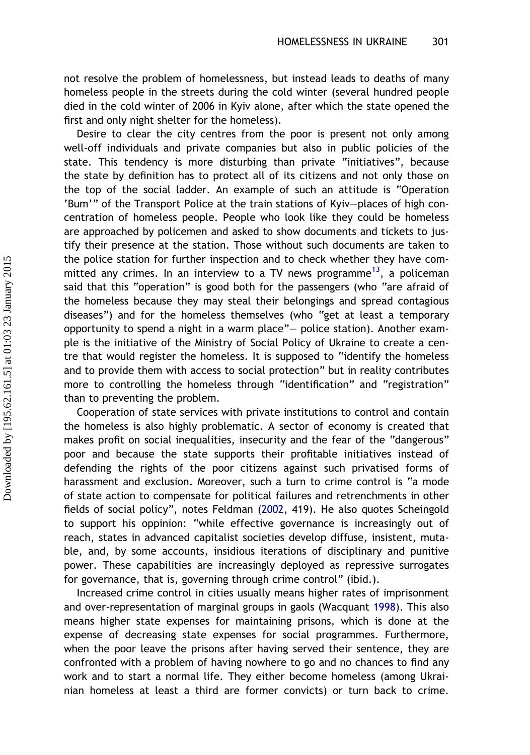not resolve the problem of homelessness, but instead leads to deaths of many homeless people in the streets during the cold winter (several hundred people died in the cold winter of 2006 in Kyiv alone, after which the state opened the first and only night shelter for the homeless).

Desire to clear the city centres from the poor is present not only among well-off individuals and private companies but also in public policies of the state. This tendency is more disturbing than private "initiatives", because the state by definition has to protect all of its citizens and not only those on the top of the social ladder. An example of such an attitude is "Operation 'Bum'" of the Transport Police at the train stations of Kyiv–places of high concentration of homeless people. People who look like they could be homeless are approached by policemen and asked to show documents and tickets to justify their presence at the station. Those without such documents are taken to the police station for further inspection and to check whether they have committed any crimes. In an interview to a TV news programme<sup>13</sup>, a policeman said that this "operation" is good both for the passengers (who "are afraid of the homeless because they may steal their belongings and spread contagious diseases") and for the homeless themselves (who "get at least a temporary opportunity to spend a night in a warm place"– police station). Another example is the initiative of the Ministry of Social Policy of Ukraine to create a centre that would register the homeless. It is supposed to "identify the homeless and to provide them with access to social protection" but in reality contributes more to controlling the homeless through "identification" and "registration" than to preventing the problem.

Cooperation of state services with private institutions to control and contain the homeless is also highly problematic. A sector of economy is created that makes profit on social inequalities, insecurity and the fear of the "dangerous" poor and because the state supports their profitable initiatives instead of defending the rights of the poor citizens against such privatised forms of harassment and exclusion. Moreover, such a turn to crime control is "a mode of state action to compensate for political failures and retrenchments in other fields of social policy", notes Feldman [\(2002](#page-19-0), 419). He also quotes Scheingold to support his oppinion: "while effective governance is increasingly out of reach, states in advanced capitalist societies develop diffuse, insistent, mutable, and, by some accounts, insidious iterations of disciplinary and punitive power. These capabilities are increasingly deployed as repressive surrogates for governance, that is, governing through crime control" (ibid.).

Increased crime control in cities usually means higher rates of imprisonment and over-representation of marginal groups in gaols (Wacquant [1998](#page-20-0)). This also means higher state expenses for maintaining prisons, which is done at the expense of decreasing state expenses for social programmes. Furthermore, when the poor leave the prisons after having served their sentence, they are confronted with a problem of having nowhere to go and no chances to find any work and to start a normal life. They either become homeless (among Ukrainian homeless at least a third are former convicts) or turn back to crime.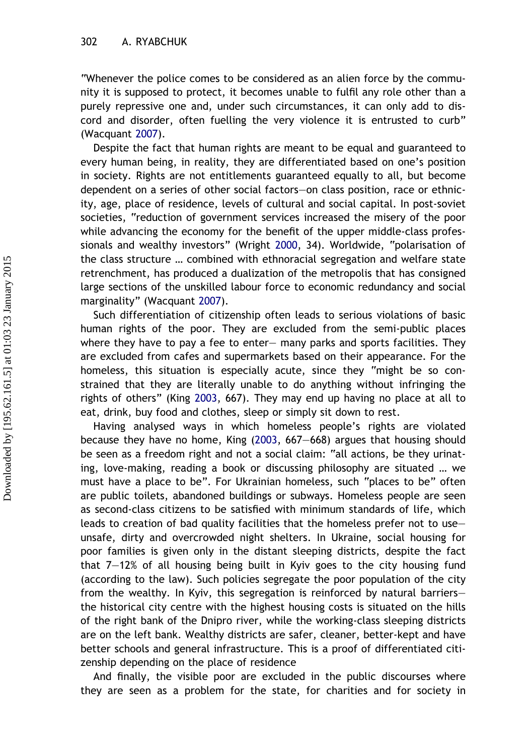"Whenever the police comes to be considered as an alien force by the community it is supposed to protect, it becomes unable to fulfil any role other than a purely repressive one and, under such circumstances, it can only add to discord and disorder, often fuelling the very violence it is entrusted to curb" (Wacquant [2007](#page-20-0)).

Despite the fact that human rights are meant to be equal and guaranteed to every human being, in reality, they are differentiated based on one's position in society. Rights are not entitlements guaranteed equally to all, but become dependent on a series of other social factors–on class position, race or ethnicity, age, place of residence, levels of cultural and social capital. In post-soviet societies, "reduction of government services increased the misery of the poor while advancing the economy for the benefit of the upper middle-class professionals and wealthy investors" (Wright [2000](#page-20-0), 34). Worldwide, "polarisation of the class structure … combined with ethnoracial segregation and welfare state retrenchment, has produced a dualization of the metropolis that has consigned large sections of the unskilled labour force to economic redundancy and social marginality" (Wacquant [2007\)](#page-20-0).

Such differentiation of citizenship often leads to serious violations of basic human rights of the poor. They are excluded from the semi-public places where they have to pay a fee to enter– many parks and sports facilities. They are excluded from cafes and supermarkets based on their appearance. For the homeless, this situation is especially acute, since they "might be so constrained that they are literally unable to do anything without infringing the rights of others" (King [2003](#page-19-0), 667). They may end up having no place at all to eat, drink, buy food and clothes, sleep or simply sit down to rest.

Having analysed ways in which homeless people's rights are violated because they have no home, King [\(2003](#page-19-0), 667–668) argues that housing should be seen as a freedom right and not a social claim: "all actions, be they urinating, love-making, reading a book or discussing philosophy are situated … we must have a place to be". For Ukrainian homeless, such "places to be" often are public toilets, abandoned buildings or subways. Homeless people are seen as second-class citizens to be satisfied with minimum standards of life, which leads to creation of bad quality facilities that the homeless prefer not to use– unsafe, dirty and overcrowded night shelters. In Ukraine, social housing for poor families is given only in the distant sleeping districts, despite the fact that 7–12% of all housing being built in Kyiv goes to the city housing fund (according to the law). Such policies segregate the poor population of the city from the wealthy. In Kyiv, this segregation is reinforced by natural barriers– the historical city centre with the highest housing costs is situated on the hills of the right bank of the Dnipro river, while the working-class sleeping districts are on the left bank. Wealthy districts are safer, cleaner, better-kept and have better schools and general infrastructure. This is a proof of differentiated citizenship depending on the place of residence

And finally, the visible poor are excluded in the public discourses where they are seen as a problem for the state, for charities and for society in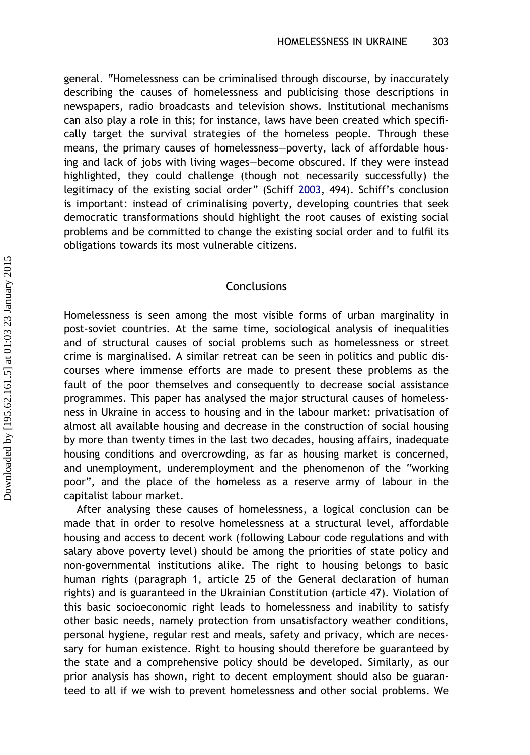general. "Homelessness can be criminalised through discourse, by inaccurately describing the causes of homelessness and publicising those descriptions in newspapers, radio broadcasts and television shows. Institutional mechanisms can also play a role in this; for instance, laws have been created which specifically target the survival strategies of the homeless people. Through these means, the primary causes of homelessness–poverty, lack of affordable housing and lack of jobs with living wages–become obscured. If they were instead highlighted, they could challenge (though not necessarily successfully) the legitimacy of the existing social order" (Schiff [2003,](#page-19-0) 494). Schiff's conclusion is important: instead of criminalising poverty, developing countries that seek democratic transformations should highlight the root causes of existing social problems and be committed to change the existing social order and to fulfil its obligations towards its most vulnerable citizens.

#### Conclusions

Homelessness is seen among the most visible forms of urban marginality in post-soviet countries. At the same time, sociological analysis of inequalities and of structural causes of social problems such as homelessness or street crime is marginalised. A similar retreat can be seen in politics and public discourses where immense efforts are made to present these problems as the fault of the poor themselves and consequently to decrease social assistance programmes. This paper has analysed the major structural causes of homelessness in Ukraine in access to housing and in the labour market: privatisation of almost all available housing and decrease in the construction of social housing by more than twenty times in the last two decades, housing affairs, inadequate housing conditions and overcrowding, as far as housing market is concerned, and unemployment, underemployment and the phenomenon of the "working poor", and the place of the homeless as a reserve army of labour in the capitalist labour market.

After analysing these causes of homelessness, a logical conclusion can be made that in order to resolve homelessness at a structural level, affordable housing and access to decent work (following Labour code regulations and with salary above poverty level) should be among the priorities of state policy and non-governmental institutions alike. The right to housing belongs to basic human rights (paragraph 1, article 25 of the General declaration of human rights) and is guaranteed in the Ukrainian Constitution (article 47). Violation of this basic socioeconomic right leads to homelessness and inability to satisfy other basic needs, namely protection from unsatisfactory weather conditions, personal hygiene, regular rest and meals, safety and privacy, which are necessary for human existence. Right to housing should therefore be guaranteed by the state and a comprehensive policy should be developed. Similarly, as our prior analysis has shown, right to decent employment should also be guaranteed to all if we wish to prevent homelessness and other social problems. We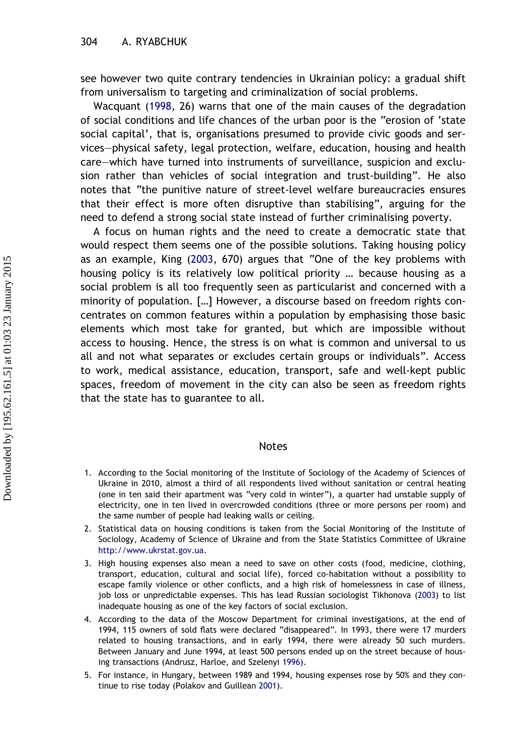<span id="page-18-0"></span>see however two quite contrary tendencies in Ukrainian policy: a gradual shift from universalism to targeting and criminalization of social problems.

Wacquant ([1998,](#page-20-0) 26) warns that one of the main causes of the degradation of social conditions and life chances of the urban poor is the "erosion of 'state social capital', that is, organisations presumed to provide civic goods and services–physical safety, legal protection, welfare, education, housing and health care–which have turned into instruments of surveillance, suspicion and exclusion rather than vehicles of social integration and trust-building". He also notes that "the punitive nature of street-level welfare bureaucracies ensures that their effect is more often disruptive than stabilising", arguing for the need to defend a strong social state instead of further criminalising poverty.

A focus on human rights and the need to create a democratic state that would respect them seems one of the possible solutions. Taking housing policy as an example, King ([2003](#page-19-0), 670) argues that "One of the key problems with housing policy is its relatively low political priority … because housing as a social problem is all too frequently seen as particularist and concerned with a minority of population. […] However, a discourse based on freedom rights concentrates on common features within a population by emphasising those basic elements which most take for granted, but which are impossible without access to housing. Hence, the stress is on what is common and universal to us all and not what separates or excludes certain groups or individuals". Access to work, medical assistance, education, transport, safe and well-kept public spaces, freedom of movement in the city can also be seen as freedom rights that the state has to guarantee to all.

#### **Notes**

- 1. According to the Social monitoring of the Institute of Sociology of the Academy of Sciences of Ukraine in 2010, almost a third of all respondents lived without sanitation or central heating (one in ten said their apartment was "very cold in winter"), a quarter had unstable supply of electricity, one in ten lived in overcrowded conditions (three or more persons per room) and the same number of people had leaking walls or ceiling.
- 2. Statistical data on housing conditions is taken from the Social Monitoring of the Institute of Sociology, Academy of Science of Ukraine and from the State Statistics Committee of Ukraine [http://www.ukrstat.gov.ua.](http://www.ukrstat.gov.ua)
- 3. High housing expenses also mean a need to save on other costs (food, medicine, clothing, transport, education, cultural and social life), forced co-habitation without a possibility to escape family violence or other conflicts, and a high risk of homelessness in case of illness, job loss or unpredictable expenses. This has lead Russian sociologist Tikhonova [\(2003\)](#page-19-0) to list inadequate housing as one of the key factors of social exclusion.
- 4. According to the data of the Moscow Department for criminal investigations, at the end of 1994, 115 owners of sold flats were declared "disappeared". In 1993, there were 17 murders related to housing transactions, and in early 1994, there were already 50 such murders. Between January and June 1994, at least 500 persons ended up on the street because of housing transactions (Andrusz, Harloe, and Szelenyi [1996](#page-19-0)).
- 5. For instance, in Hungary, between 1989 and 1994, housing expenses rose by 50% and they continue to rise today (Polakov and Guillean [2001\)](#page-19-0).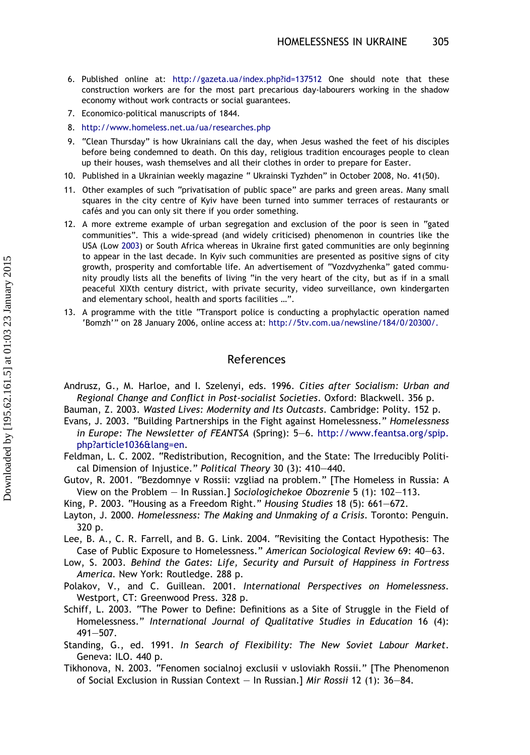- <span id="page-19-0"></span>6. Published online at: <http://gazeta.ua/index.php?id=137512> One should note that these construction workers are for the most part precarious day-labourers working in the shadow economy without work contracts or social guarantees.
- 7. Economico-political manuscripts of 1844.
- 8. <http://www.homeless.net.ua/ua/researches.php>
- 9. "Clean Thursday" is how Ukrainians call the day, when Jesus washed the feet of his disciples before being condemned to death. On this day, religious tradition encourages people to clean up their houses, wash themselves and all their clothes in order to prepare for Easter.
- 10. Published in a Ukrainian weekly magazine " Ukrainski Tyzhden" in October 2008, No. 41(50).
- 11. Other examples of such "privatisation of public space" are parks and green areas. Many small squares in the city centre of Kyiv have been turned into summer terraces of restaurants or cafés and you can only sit there if you order something.
- 12. A more extreme example of urban segregation and exclusion of the poor is seen in "gated communities". This a wide-spread (and widely criticised) phenomenon in countries like the USA (Low 2003) or South Africa whereas in Ukraine first gated communities are only beginning to appear in the last decade. In Kyiv such communities are presented as positive signs of city growth, prosperity and comfortable life. An advertisement of "Vozdvyzhenka" gated community proudly lists all the benefits of living "in the very heart of the city, but as if in a small peaceful XIXth century district, with private security, video surveillance, own kindergarten and elementary school, health and sports facilities …".
- 13. A programme with the title "Transport police is conducting a prophylactic operation named 'Bomzh'" on 28 January 2006, online access at: <http://5tv.com.ua/newsline/184/0/20300/.>

#### References

Andrusz, G., M. Harloe, and I. Szelenyi, eds. 1996. Cities after Socialism: Urban and Regional Change and Conflict in Post-socialist Societies. Oxford: Blackwell. 356 p.

Bauman, Z. 2003. Wasted Lives: Modernity and Its Outcasts. Cambridge: Polity. 152 p.

- Evans, J. 2003. "Building Partnerships in the Fight against Homelessness." Homelessness in Europe: The Newsletter of FEANTSA (Spring): 5–6. [http://www.feantsa.org/spip.](http://www.feantsa.org/spip.php?article1036&lang=en) [php?article1036&lang=en.](http://www.feantsa.org/spip.php?article1036&lang=en)
- Feldman, L. C. 2002. "Redistribution, Recognition, and the State: The Irreducibly Political Dimension of Injustice." Political Theory 30 (3): 410–440.
- Gutov, R. 2001. "Bezdomnye v Rossii: vzgliad na problem." [The Homeless in Russia: A View on the Problem – In Russian.] Sociologichekoe Obozrenie 5 (1): 102–113.
- King, P. 2003. "Housing as a Freedom Right." Housing Studies 18 (5): 661–672.
- Layton, J. 2000. Homelessness: The Making and Unmaking of a Crisis. Toronto: Penguin. 320 p.
- Lee, B. A., C. R. Farrell, and B. G. Link. 2004. "Revisiting the Contact Hypothesis: The Case of Public Exposure to Homelessness." American Sociological Review 69: 40–63.
- Low, S. 2003. Behind the Gates: Life, Security and Pursuit of Happiness in Fortress America. New York: Routledge. 288 p.
- Polakov, V., and C. Guillean. 2001. International Perspectives on Homelessness. Westport, CT: Greenwood Press. 328 p.
- Schiff, L. 2003. "The Power to Define: Definitions as a Site of Struggle in the Field of Homelessness." International Journal of Qualitative Studies in Education 16 (4): 491–507.
- Standing, G., ed. 1991. In Search of Flexibility: The New Soviet Labour Market. Geneva: ILO. 440 p.
- Tikhonova, N. 2003. "Fenomen socialnoj exclusii v usloviakh Rossii." [The Phenomenon of Social Exclusion in Russian Context – In Russian.] Mir Rossii 12 (1): 36–84.